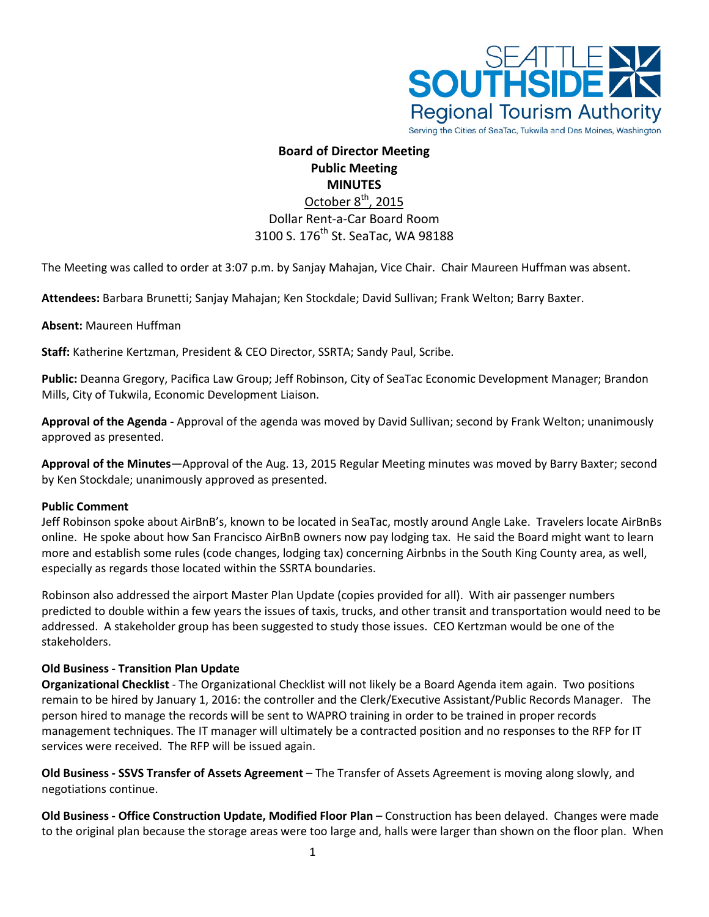

Serving the Cities of SeaTac, Tukwila and Des Moines, Washington

# **Board of Director Meeting Public Meeting MINUTES** October 8<sup>th</sup>, 2015

# Dollar Rent-a-Car Board Room 3100 S. 176<sup>th</sup> St. SeaTac, WA 98188

The Meeting was called to order at 3:07 p.m. by Sanjay Mahajan, Vice Chair. Chair Maureen Huffman was absent.

**Attendees:** Barbara Brunetti; Sanjay Mahajan; Ken Stockdale; David Sullivan; Frank Welton; Barry Baxter.

### **Absent:** Maureen Huffman

**Staff:** Katherine Kertzman, President & CEO Director, SSRTA; Sandy Paul, Scribe.

**Public:** Deanna Gregory, Pacifica Law Group; Jeff Robinson, City of SeaTac Economic Development Manager; Brandon Mills, City of Tukwila, Economic Development Liaison.

**Approval of the Agenda -** Approval of the agenda was moved by David Sullivan; second by Frank Welton; unanimously approved as presented.

**Approval of the Minutes**—Approval of the Aug. 13, 2015 Regular Meeting minutes was moved by Barry Baxter; second by Ken Stockdale; unanimously approved as presented.

### **Public Comment**

Jeff Robinson spoke about AirBnB's, known to be located in SeaTac, mostly around Angle Lake. Travelers locate AirBnBs online. He spoke about how San Francisco AirBnB owners now pay lodging tax. He said the Board might want to learn more and establish some rules (code changes, lodging tax) concerning Airbnbs in the South King County area, as well, especially as regards those located within the SSRTA boundaries.

Robinson also addressed the airport Master Plan Update (copies provided for all). With air passenger numbers predicted to double within a few years the issues of taxis, trucks, and other transit and transportation would need to be addressed. A stakeholder group has been suggested to study those issues. CEO Kertzman would be one of the stakeholders.

# **Old Business - Transition Plan Update**

**Organizational Checklist** - The Organizational Checklist will not likely be a Board Agenda item again. Two positions remain to be hired by January 1, 2016: the controller and the Clerk/Executive Assistant/Public Records Manager. The person hired to manage the records will be sent to WAPRO training in order to be trained in proper records management techniques. The IT manager will ultimately be a contracted position and no responses to the RFP for IT services were received. The RFP will be issued again.

**Old Business - SSVS Transfer of Assets Agreement** – The Transfer of Assets Agreement is moving along slowly, and negotiations continue.

**Old Business - Office Construction Update, Modified Floor Plan** – Construction has been delayed. Changes were made to the original plan because the storage areas were too large and, halls were larger than shown on the floor plan. When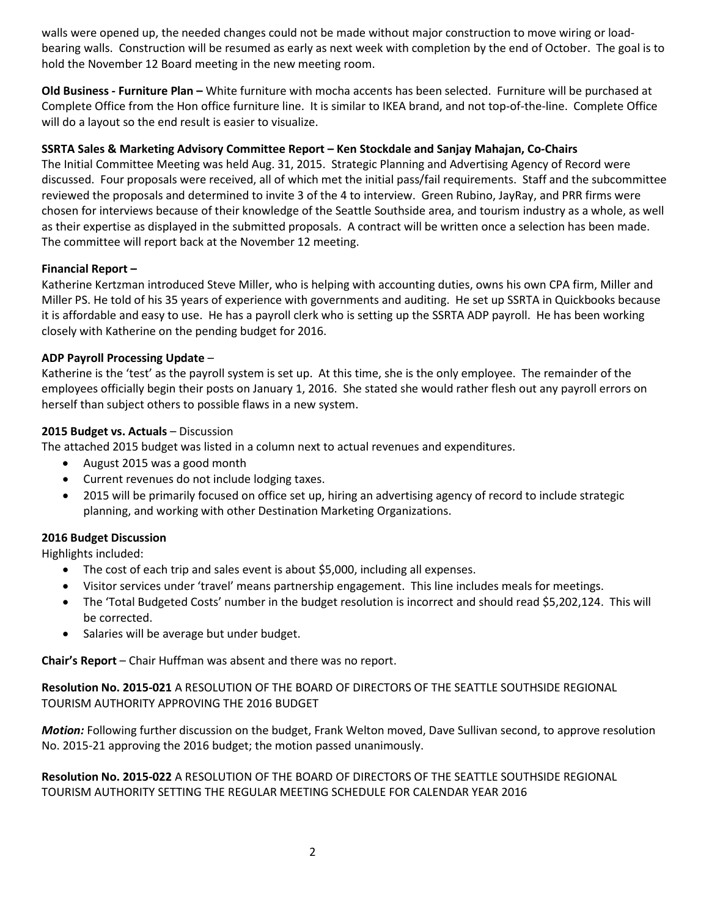walls were opened up, the needed changes could not be made without major construction to move wiring or loadbearing walls. Construction will be resumed as early as next week with completion by the end of October. The goal is to hold the November 12 Board meeting in the new meeting room.

**Old Business - Furniture Plan –** White furniture with mocha accents has been selected. Furniture will be purchased at Complete Office from the Hon office furniture line. It is similar to IKEA brand, and not top-of-the-line. Complete Office will do a layout so the end result is easier to visualize.

# **SSRTA Sales & Marketing Advisory Committee Report – Ken Stockdale and Sanjay Mahajan, Co-Chairs**

The Initial Committee Meeting was held Aug. 31, 2015. Strategic Planning and Advertising Agency of Record were discussed. Four proposals were received, all of which met the initial pass/fail requirements. Staff and the subcommittee reviewed the proposals and determined to invite 3 of the 4 to interview. Green Rubino, JayRay, and PRR firms were chosen for interviews because of their knowledge of the Seattle Southside area, and tourism industry as a whole, as well as their expertise as displayed in the submitted proposals. A contract will be written once a selection has been made. The committee will report back at the November 12 meeting.

### **Financial Report –**

Katherine Kertzman introduced Steve Miller, who is helping with accounting duties, owns his own CPA firm, Miller and Miller PS. He told of his 35 years of experience with governments and auditing. He set up SSRTA in Quickbooks because it is affordable and easy to use. He has a payroll clerk who is setting up the SSRTA ADP payroll. He has been working closely with Katherine on the pending budget for 2016.

# **ADP Payroll Processing Update** –

Katherine is the 'test' as the payroll system is set up. At this time, she is the only employee. The remainder of the employees officially begin their posts on January 1, 2016. She stated she would rather flesh out any payroll errors on herself than subject others to possible flaws in a new system.

# **2015 Budget vs. Actuals** – Discussion

The attached 2015 budget was listed in a column next to actual revenues and expenditures.

- August 2015 was a good month
- Current revenues do not include lodging taxes.
- 2015 will be primarily focused on office set up, hiring an advertising agency of record to include strategic planning, and working with other Destination Marketing Organizations.

# **2016 Budget Discussion**

Highlights included:

- The cost of each trip and sales event is about \$5,000, including all expenses.
- Visitor services under 'travel' means partnership engagement. This line includes meals for meetings.
- The 'Total Budgeted Costs' number in the budget resolution is incorrect and should read \$5,202,124. This will be corrected.
- Salaries will be average but under budget.

**Chair's Report** – Chair Huffman was absent and there was no report.

**Resolution No. 2015-021** A RESOLUTION OF THE BOARD OF DIRECTORS OF THE SEATTLE SOUTHSIDE REGIONAL TOURISM AUTHORITY APPROVING THE 2016 BUDGET

*Motion:* Following further discussion on the budget, Frank Welton moved, Dave Sullivan second, to approve resolution No. 2015-21 approving the 2016 budget; the motion passed unanimously.

**Resolution No. 2015-022** A RESOLUTION OF THE BOARD OF DIRECTORS OF THE SEATTLE SOUTHSIDE REGIONAL TOURISM AUTHORITY SETTING THE REGULAR MEETING SCHEDULE FOR CALENDAR YEAR 2016